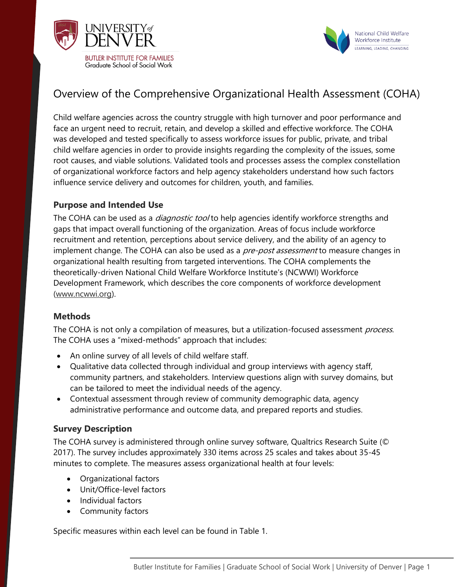



# Overview of the Comprehensive Organizational Health Assessment (COHA)

Child welfare agencies across the country struggle with high turnover and poor performance and face an urgent need to recruit, retain, and develop a skilled and effective workforce. The COHA was developed and tested specifically to assess workforce issues for public, private, and tribal child welfare agencies in order to provide insights regarding the complexity of the issues, some root causes, and viable solutions. Validated tools and processes assess the complex constellation of organizational workforce factors and help agency stakeholders understand how such factors influence service delivery and outcomes for children, youth, and families.

### **Purpose and Intended Use**

The COHA can be used as a *diagnostic tool* to help agencies identify workforce strengths and gaps that impact overall functioning of the organization. Areas of focus include workforce recruitment and retention, perceptions about service delivery, and the ability of an agency to implement change. The COHA can also be used as a *pre-post assessment* to measure changes in organizational health resulting from targeted interventions. The COHA complements the theoretically-driven National Child Welfare Workforce Institute's (NCWWI) Workforce Development Framework, which describes the core components of workforce development [\(www.ncwwi.org\)](http://www.ncwwi.org/).

#### **Methods**

The COHA is not only a compilation of measures, but a utilization-focused assessment process. The COHA uses a "mixed-methods" approach that includes:

- An online survey of all levels of child welfare staff.
- Qualitative data collected through individual and group interviews with agency staff, community partners, and stakeholders. Interview questions align with survey domains, but can be tailored to meet the individual needs of the agency.
- Contextual assessment through review of community demographic data, agency administrative performance and outcome data, and prepared reports and studies.

#### **Survey Description**

The COHA survey is administered through online survey software, Qualtrics Research Suite (© 2017). The survey includes approximately 330 items across 25 scales and takes about 35-45 minutes to complete. The measures assess organizational health at four levels:

- Organizational factors
- Unit/Office-level factors
- Individual factors
- Community factors

Specific measures within each level can be found in Table 1.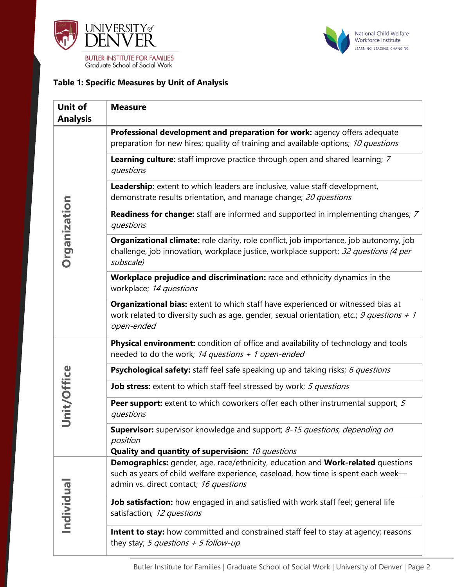



#### **Table 1: Specific Measures by Unit of Analysis**

| <b>Unit of</b><br><b>Analysis</b> | <b>Measure</b>                                                                                                                                                                                     |
|-----------------------------------|----------------------------------------------------------------------------------------------------------------------------------------------------------------------------------------------------|
| Organization                      | Professional development and preparation for work: agency offers adequate<br>preparation for new hires; quality of training and available options; 10 questions                                    |
|                                   | Learning culture: staff improve practice through open and shared learning; 7<br>questions                                                                                                          |
|                                   | Leadership: extent to which leaders are inclusive, value staff development,<br>demonstrate results orientation, and manage change; 20 questions                                                    |
|                                   | <b>Readiness for change:</b> staff are informed and supported in implementing changes; 7<br>questions                                                                                              |
|                                   | <b>Organizational climate:</b> role clarity, role conflict, job importance, job autonomy, job<br>challenge, job innovation, workplace justice, workplace support; 32 questions (4 per<br>subscale) |
|                                   | Workplace prejudice and discrimination: race and ethnicity dynamics in the<br>workplace; 14 questions                                                                                              |
|                                   | <b>Organizational bias:</b> extent to which staff have experienced or witnessed bias at<br>work related to diversity such as age, gender, sexual orientation, etc.; 9 questions + 1<br>open-ended  |
| Unit/Office                       | <b>Physical environment:</b> condition of office and availability of technology and tools<br>needed to do the work; 14 questions $+$ 1 open-ended                                                  |
|                                   | Psychological safety: staff feel safe speaking up and taking risks; 6 questions                                                                                                                    |
|                                   | Job stress: extent to which staff feel stressed by work; 5 questions                                                                                                                               |
|                                   | <b>Peer support:</b> extent to which coworkers offer each other instrumental support; 5<br>questions                                                                                               |
|                                   | <b>Supervisor:</b> supervisor knowledge and support; 8-15 questions, depending on<br>position<br><b>Quality and quantity of supervision:</b> 10 questions                                          |
| Individual                        | <b>Demographics:</b> gender, age, race/ethnicity, education and Work-related questions                                                                                                             |
|                                   | such as years of child welfare experience, caseload, how time is spent each week-<br>admin vs. direct contact; 16 questions                                                                        |
|                                   | Job satisfaction: how engaged in and satisfied with work staff feel; general life<br>satisfaction; 12 questions                                                                                    |
|                                   | <b>Intent to stay:</b> how committed and constrained staff feel to stay at agency; reasons<br>they stay; 5 questions + 5 follow-up                                                                 |